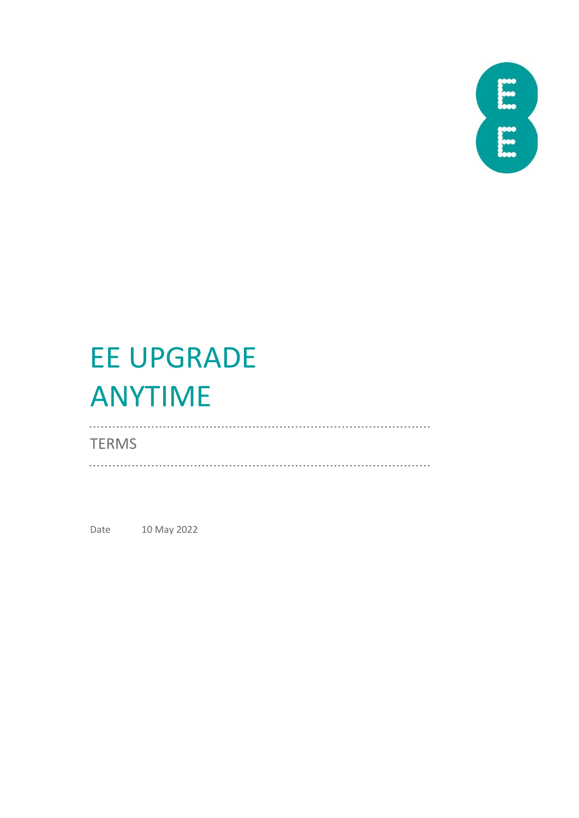

# EE UPGRADE ANYTIME

# **TERMS**

Date 10 May 2022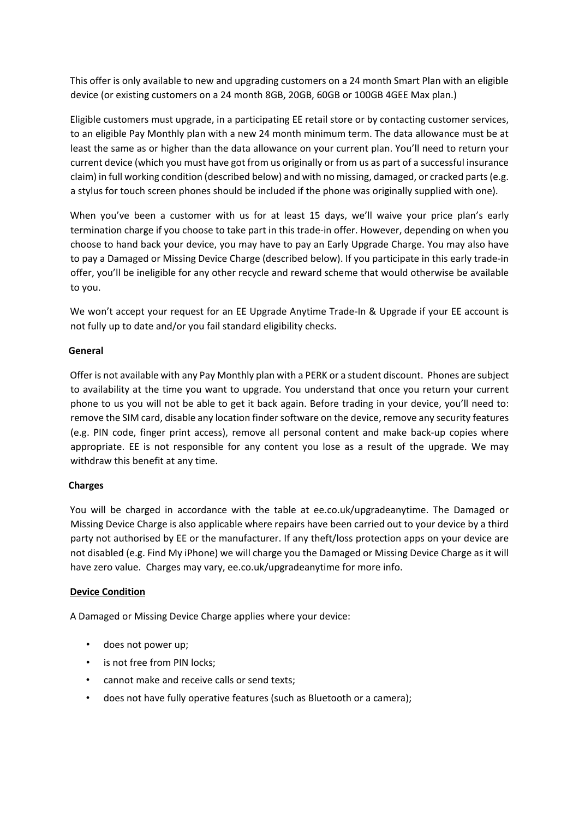This offer is only available to new and upgrading customers on a 24 month Smart Plan with an eligible device (or existing customers on a 24 month 8GB, 20GB, 60GB or 100GB 4GEE Max plan.)

Eligible customers must upgrade, in a participating EE retail store or by contacting customer services, to an eligible Pay Monthly plan with a new 24 month minimum term. The data allowance must be at least the same as or higher than the data allowance on your current plan. You'll need to return your current device (which you must have got from us originally or from us as part of a successful insurance claim) in full working condition (described below) and with no missing, damaged, or cracked parts (e.g. a stylus for touch screen phones should be included if the phone was originally supplied with one).

When you've been a customer with us for at least 15 days, we'll waive your price plan's early termination charge if you choose to take part in this trade-in offer. However, depending on when you choose to hand back your device, you may have to pay an Early Upgrade Charge. You may also have to pay a Damaged or Missing Device Charge (described below). If you participate in this early trade-in offer, you'll be ineligible for any other recycle and reward scheme that would otherwise be available to you.

We won't accept your request for an EE Upgrade Anytime Trade-In & Upgrade if your EE account is not fully up to date and/or you fail standard eligibility checks.

#### **General**

Offer is not available with any Pay Monthly plan with a PERK or a student discount. Phones are subject to availability at the time you want to upgrade. You understand that once you return your current phone to us you will not be able to get it back again. Before trading in your device, you'll need to: remove the SIM card, disable any location finder software on the device, remove any security features (e.g. PIN code, finger print access), remove all personal content and make back-up copies where appropriate. EE is not responsible for any content you lose as a result of the upgrade. We may withdraw this benefit at any time.

## **Charges**

You will be charged in accordance with the table at ee.co.uk/upgradeanytime. The Damaged or Missing Device Charge is also applicable where repairs have been carried out to your device by a third party not authorised by EE or the manufacturer. If any theft/loss protection apps on your device are not disabled (e.g. Find My iPhone) we will charge you the Damaged or Missing Device Charge as it will have zero value. Charges may vary, ee.co.uk/upgradeanytime for more info.

## **Device Condition**

A Damaged or Missing Device Charge applies where your device:

- does not power up;
- is not free from PIN locks;
- cannot make and receive calls or send texts;
- does not have fully operative features (such as Bluetooth or a camera);